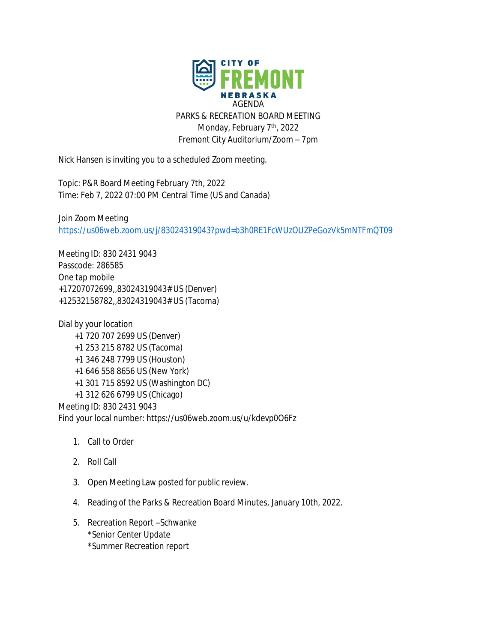

Nick Hansen is inviting you to a scheduled Zoom meeting.

Topic: P&R Board Meeting February 7th, 2022 Time: Feb 7, 2022 07:00 PM Central Time (US and Canada)

Join Zoom Meeting <https://us06web.zoom.us/j/83024319043?pwd=b3h0RE1FcWUzOUZPeGozVk5mNTFmQT09>

Meeting ID: 830 2431 9043 Passcode: 286585 One tap mobile +17207072699,,83024319043# US (Denver) +12532158782,,83024319043# US (Tacoma)

Dial by your location +1 720 707 2699 US (Denver) +1 253 215 8782 US (Tacoma) +1 346 248 7799 US (Houston) +1 646 558 8656 US (New York) +1 301 715 8592 US (Washington DC) +1 312 626 6799 US (Chicago) Meeting ID: 830 2431 9043 Find your local number: https://us06web.zoom.us/u/kdevp0O6Fz

- 1. Call to Order
- 2. Roll Call
- 3. Open Meeting Law posted for public review.
- 4. Reading of the Parks & Recreation Board Minutes, January 10th, 2022.
- 5. Recreation Report –Schwanke \*Senior Center Update
	- \*Summer Recreation report